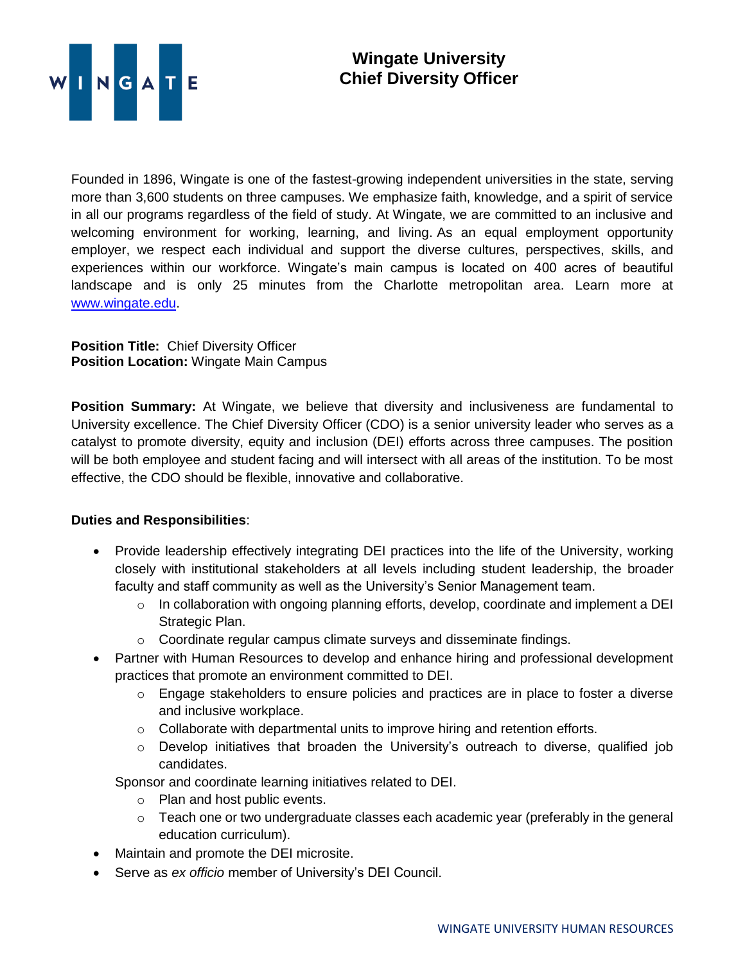

Founded in 1896, Wingate is one of the fastest-growing independent universities in the state, serving more than 3,600 students on three campuses. We emphasize faith, knowledge, and a spirit of service in all our programs regardless of the field of study. At Wingate, we are committed to an inclusive and welcoming environment for working, learning, and living. As an equal employment opportunity employer, we respect each individual and support the diverse cultures, perspectives, skills, and experiences within our workforce. Wingate's main campus is located on 400 acres of beautiful landscape and is only 25 minutes from the Charlotte metropolitan area. Learn more at [www.wingate.edu.](http://www.wingate/edu)

**Position Title:** Chief Diversity Officer **Position Location:** Wingate Main Campus

**Position Summary:** At Wingate, we believe that diversity and inclusiveness are fundamental to University excellence. The Chief Diversity Officer (CDO) is a senior university leader who serves as a catalyst to promote diversity, equity and inclusion (DEI) efforts across three campuses. The position will be both employee and student facing and will intersect with all areas of the institution. To be most effective, the CDO should be flexible, innovative and collaborative.

## **Duties and Responsibilities**:

- Provide leadership effectively integrating DEI practices into the life of the University, working closely with institutional stakeholders at all levels including student leadership, the broader faculty and staff community as well as the University's Senior Management team.
	- $\circ$  In collaboration with ongoing planning efforts, develop, coordinate and implement a DEI Strategic Plan.
	- o Coordinate regular campus climate surveys and disseminate findings.
- Partner with Human Resources to develop and enhance hiring and professional development practices that promote an environment committed to DEI.
	- o Engage stakeholders to ensure policies and practices are in place to foster a diverse and inclusive workplace.
	- o Collaborate with departmental units to improve hiring and retention efforts.
	- $\circ$  Develop initiatives that broaden the University's outreach to diverse, qualified job candidates.

Sponsor and coordinate learning initiatives related to DEI.

- o Plan and host public events.
- $\circ$  Teach one or two undergraduate classes each academic year (preferably in the general education curriculum).
- Maintain and promote the DEI microsite.
- Serve as *ex officio* member of University's DEI Council.